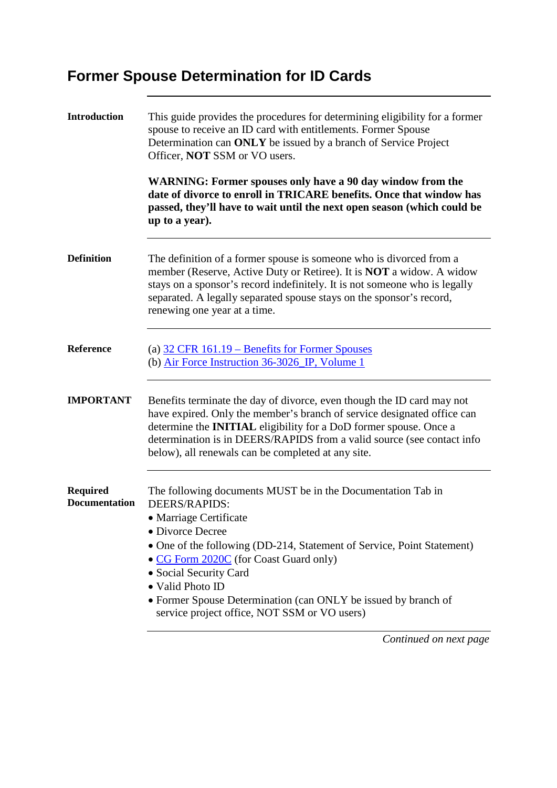## **Former Spouse Determination for ID Cards**

| <b>Introduction</b>                     | This guide provides the procedures for determining eligibility for a former<br>spouse to receive an ID card with entitlements. Former Spouse<br>Determination can ONLY be issued by a branch of Service Project<br>Officer, <b>NOT</b> SSM or VO users.                                                                                                                                                        |  |
|-----------------------------------------|----------------------------------------------------------------------------------------------------------------------------------------------------------------------------------------------------------------------------------------------------------------------------------------------------------------------------------------------------------------------------------------------------------------|--|
|                                         | <b>WARNING: Former spouses only have a 90 day window from the</b><br>date of divorce to enroll in TRICARE benefits. Once that window has<br>passed, they'll have to wait until the next open season (which could be<br>up to a year).                                                                                                                                                                          |  |
| <b>Definition</b>                       | The definition of a former spouse is someone who is divorced from a<br>member (Reserve, Active Duty or Retiree). It is NOT a widow. A widow<br>stays on a sponsor's record indefinitely. It is not someone who is legally<br>separated. A legally separated spouse stays on the sponsor's record,<br>renewing one year at a time.                                                                              |  |
| <b>Reference</b>                        | (a) $32$ CFR $161.19$ – Benefits for Former Spouses<br>(b) Air Force Instruction 36-3026 IP, Volume 1                                                                                                                                                                                                                                                                                                          |  |
| <b>IMPORTANT</b>                        | Benefits terminate the day of divorce, even though the ID card may not<br>have expired. Only the member's branch of service designated office can<br>determine the <b>INITIAL</b> eligibility for a DoD former spouse. Once a<br>determination is in DEERS/RAPIDS from a valid source (see contact info<br>below), all renewals can be completed at any site.                                                  |  |
| <b>Required</b><br><b>Documentation</b> | The following documents MUST be in the Documentation Tab in<br>DEERS/RAPIDS:<br>• Marriage Certificate<br>• Divorce Decree<br>• One of the following (DD-214, Statement of Service, Point Statement)<br>• CG Form 2020C (for Coast Guard only)<br>• Social Security Card<br>• Valid Photo ID<br>• Former Spouse Determination (can ONLY be issued by branch of<br>service project office, NOT SSM or VO users) |  |

*Continued on next page*